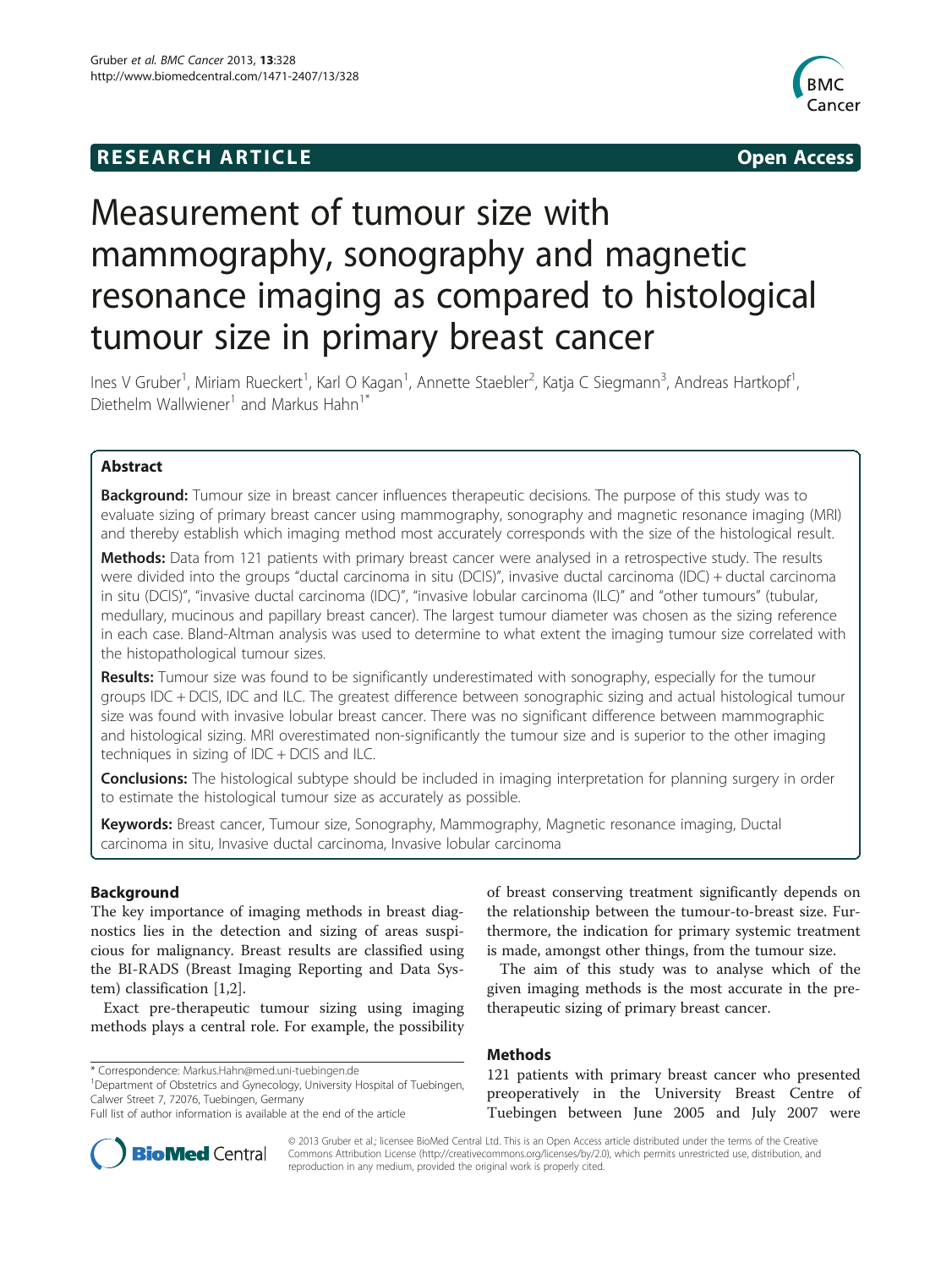## **RESEARCH ARTICLE Example 2014 12:30 The SEAR CHA RESEARCH ARTICLE**



# Measurement of tumour size with mammography, sonography and magnetic resonance imaging as compared to histological tumour size in primary breast cancer

Ines V Gruber<sup>1</sup>, Miriam Rueckert<sup>1</sup>, Karl O Kagan<sup>1</sup>, Annette Staebler<sup>2</sup>, Katja C Siegmann<sup>3</sup>, Andreas Hartkopf<sup>1</sup> , Diethelm Wallwiener<sup>1</sup> and Markus Hahn<sup>1</sup><sup>\*</sup>

## Abstract

Background: Tumour size in breast cancer influences therapeutic decisions. The purpose of this study was to evaluate sizing of primary breast cancer using mammography, sonography and magnetic resonance imaging (MRI) and thereby establish which imaging method most accurately corresponds with the size of the histological result.

Methods: Data from 121 patients with primary breast cancer were analysed in a retrospective study. The results were divided into the groups "ductal carcinoma in situ (DCIS)", invasive ductal carcinoma (IDC) + ductal carcinoma in situ (DCIS)", "invasive ductal carcinoma (IDC)", "invasive lobular carcinoma (ILC)" and "other tumours" (tubular, medullary, mucinous and papillary breast cancer). The largest tumour diameter was chosen as the sizing reference in each case. Bland-Altman analysis was used to determine to what extent the imaging tumour size correlated with the histopathological tumour sizes.

Results: Tumour size was found to be significantly underestimated with sonography, especially for the tumour groups IDC + DCIS, IDC and ILC. The greatest difference between sonographic sizing and actual histological tumour size was found with invasive lobular breast cancer. There was no significant difference between mammographic and histological sizing. MRI overestimated non-significantly the tumour size and is superior to the other imaging techniques in sizing of IDC + DCIS and ILC.

**Conclusions:** The histological subtype should be included in imaging interpretation for planning surgery in order to estimate the histological tumour size as accurately as possible.

Keywords: Breast cancer, Tumour size, Sonography, Mammography, Magnetic resonance imaging, Ductal carcinoma in situ, Invasive ductal carcinoma, Invasive lobular carcinoma

## Background

The key importance of imaging methods in breast diagnostics lies in the detection and sizing of areas suspicious for malignancy. Breast results are classified using the BI-RADS (Breast Imaging Reporting and Data System) classification [[1,2\]](#page-6-0).

Exact pre-therapeutic tumour sizing using imaging methods plays a central role. For example, the possibility

<sup>1</sup>Department of Obstetrics and Gynecology, University Hospital of Tuebingen, Calwer Street 7, 72076, Tuebingen, Germany

of breast conserving treatment significantly depends on the relationship between the tumour-to-breast size. Furthermore, the indication for primary systemic treatment is made, amongst other things, from the tumour size.

The aim of this study was to analyse which of the given imaging methods is the most accurate in the pretherapeutic sizing of primary breast cancer.

#### Methods

121 patients with primary breast cancer who presented preoperatively in the University Breast Centre of Tuebingen between June 2005 and July 2007 were



© 2013 Gruber et al.; licensee BioMed Central Ltd. This is an Open Access article distributed under the terms of the Creative Commons Attribution License [\(http://creativecommons.org/licenses/by/2.0\)](http://creativecommons.org/licenses/by/2.0), which permits unrestricted use, distribution, and reproduction in any medium, provided the original work is properly cited.

<sup>\*</sup> Correspondence: [Markus.Hahn@med.uni-tuebingen.de](mailto:Markus.Hahn@med.uni-tuebingen.de) <sup>1</sup>

Full list of author information is available at the end of the article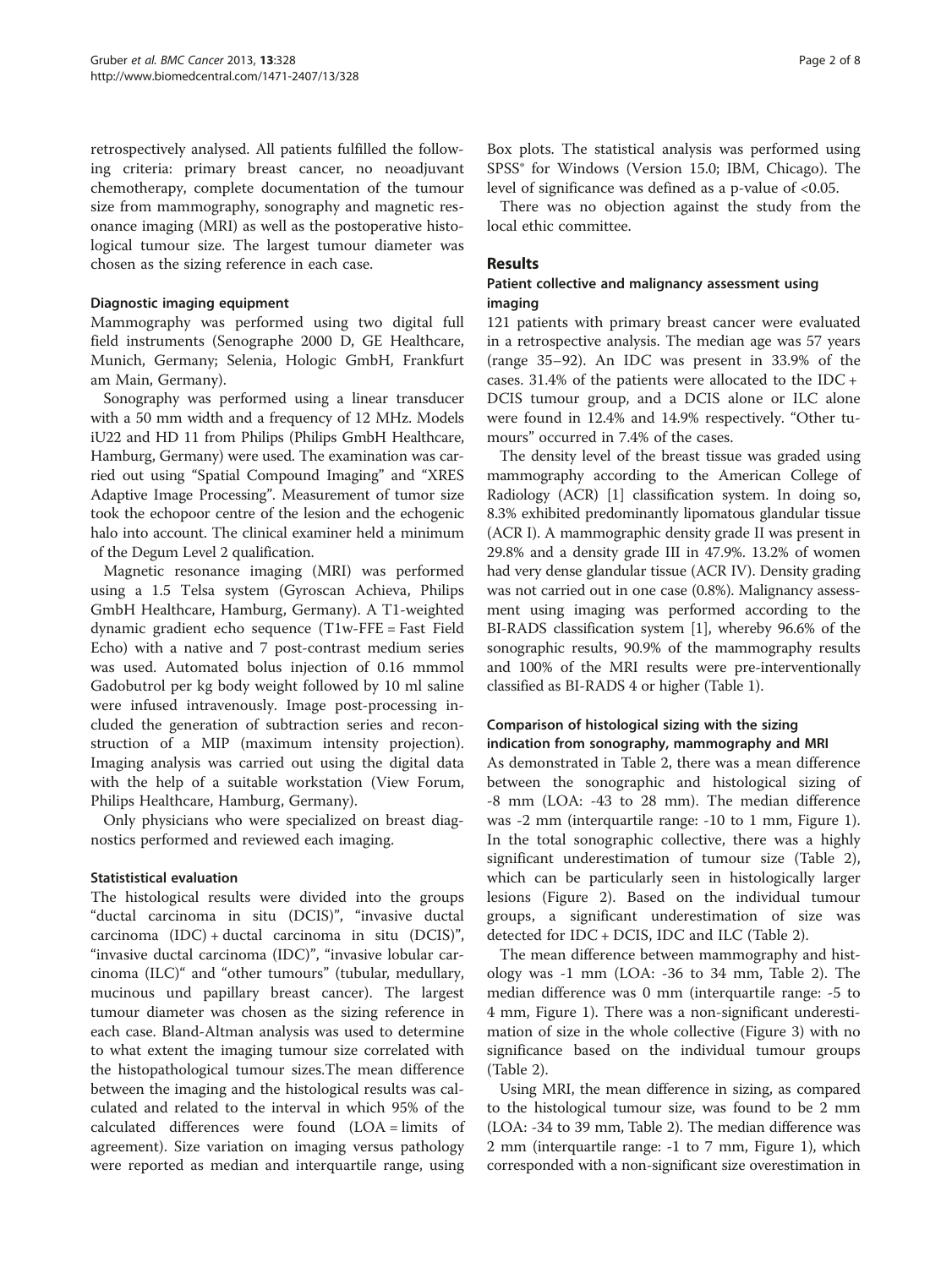retrospectively analysed. All patients fulfilled the following criteria: primary breast cancer, no neoadjuvant chemotherapy, complete documentation of the tumour size from mammography, sonography and magnetic resonance imaging (MRI) as well as the postoperative histological tumour size. The largest tumour diameter was chosen as the sizing reference in each case.

#### Diagnostic imaging equipment

Mammography was performed using two digital full field instruments (Senographe 2000 D, GE Healthcare, Munich, Germany; Selenia, Hologic GmbH, Frankfurt am Main, Germany).

Sonography was performed using a linear transducer with a 50 mm width and a frequency of 12 MHz. Models iU22 and HD 11 from Philips (Philips GmbH Healthcare, Hamburg, Germany) were used. The examination was carried out using "Spatial Compound Imaging" and "XRES Adaptive Image Processing". Measurement of tumor size took the echopoor centre of the lesion and the echogenic halo into account. The clinical examiner held a minimum of the Degum Level 2 qualification.

Magnetic resonance imaging (MRI) was performed using a 1.5 Telsa system (Gyroscan Achieva, Philips GmbH Healthcare, Hamburg, Germany). A T1-weighted dynamic gradient echo sequence (T1w-FFE = Fast Field Echo) with a native and 7 post-contrast medium series was used. Automated bolus injection of 0.16 mmmol Gadobutrol per kg body weight followed by 10 ml saline were infused intravenously. Image post-processing included the generation of subtraction series and reconstruction of a MIP (maximum intensity projection). Imaging analysis was carried out using the digital data with the help of a suitable workstation (View Forum, Philips Healthcare, Hamburg, Germany).

Only physicians who were specialized on breast diagnostics performed and reviewed each imaging.

#### Statististical evaluation

The histological results were divided into the groups "ductal carcinoma in situ (DCIS)", "invasive ductal carcinoma (IDC) + ductal carcinoma in situ (DCIS)", "invasive ductal carcinoma (IDC)", "invasive lobular carcinoma (ILC)" and "other tumours" (tubular, medullary, mucinous und papillary breast cancer). The largest tumour diameter was chosen as the sizing reference in each case. Bland-Altman analysis was used to determine to what extent the imaging tumour size correlated with the histopathological tumour sizes.The mean difference between the imaging and the histological results was calculated and related to the interval in which 95% of the calculated differences were found (LOA = limits of agreement). Size variation on imaging versus pathology were reported as median and interquartile range, using

There was no objection against the study from the local ethic committee.

## Results

## Patient collective and malignancy assessment using imaging

121 patients with primary breast cancer were evaluated in a retrospective analysis. The median age was 57 years (range 35–92). An IDC was present in 33.9% of the cases. 31.4% of the patients were allocated to the IDC + DCIS tumour group, and a DCIS alone or ILC alone were found in 12.4% and 14.9% respectively. "Other tumours" occurred in 7.4% of the cases.

The density level of the breast tissue was graded using mammography according to the American College of Radiology (ACR) [[1\]](#page-6-0) classification system. In doing so, 8.3% exhibited predominantly lipomatous glandular tissue (ACR I). A mammographic density grade II was present in 29.8% and a density grade III in 47.9%. 13.2% of women had very dense glandular tissue (ACR IV). Density grading was not carried out in one case (0.8%). Malignancy assessment using imaging was performed according to the BI-RADS classification system [\[1](#page-6-0)], whereby 96.6% of the sonographic results, 90.9% of the mammography results and 100% of the MRI results were pre-interventionally classified as BI-RADS 4 or higher (Table [1\)](#page-2-0).

## Comparison of histological sizing with the sizing indication from sonography, mammography and MRI

As demonstrated in Table [2,](#page-2-0) there was a mean difference between the sonographic and histological sizing of -8 mm (LOA: -43 to 28 mm). The median difference was -2 mm (interquartile range: -10 to 1 mm, Figure [1](#page-3-0)). In the total sonographic collective, there was a highly significant underestimation of tumour size (Table [2](#page-2-0)), which can be particularly seen in histologically larger lesions (Figure [2](#page-3-0)). Based on the individual tumour groups, a significant underestimation of size was detected for IDC + DCIS, IDC and ILC (Table [2\)](#page-2-0).

The mean difference between mammography and histology was -1 mm (LOA: -36 to 34 mm, Table [2\)](#page-2-0). The median difference was 0 mm (interquartile range: -5 to 4 mm, Figure [1](#page-3-0)). There was a non-significant underestimation of size in the whole collective (Figure [3](#page-4-0)) with no significance based on the individual tumour groups (Table [2\)](#page-2-0).

Using MRI, the mean difference in sizing, as compared to the histological tumour size, was found to be 2 mm (LOA: -34 to 39 mm, Table [2](#page-2-0)). The median difference was 2 mm (interquartile range: -1 to 7 mm, Figure [1\)](#page-3-0), which corresponded with a non-significant size overestimation in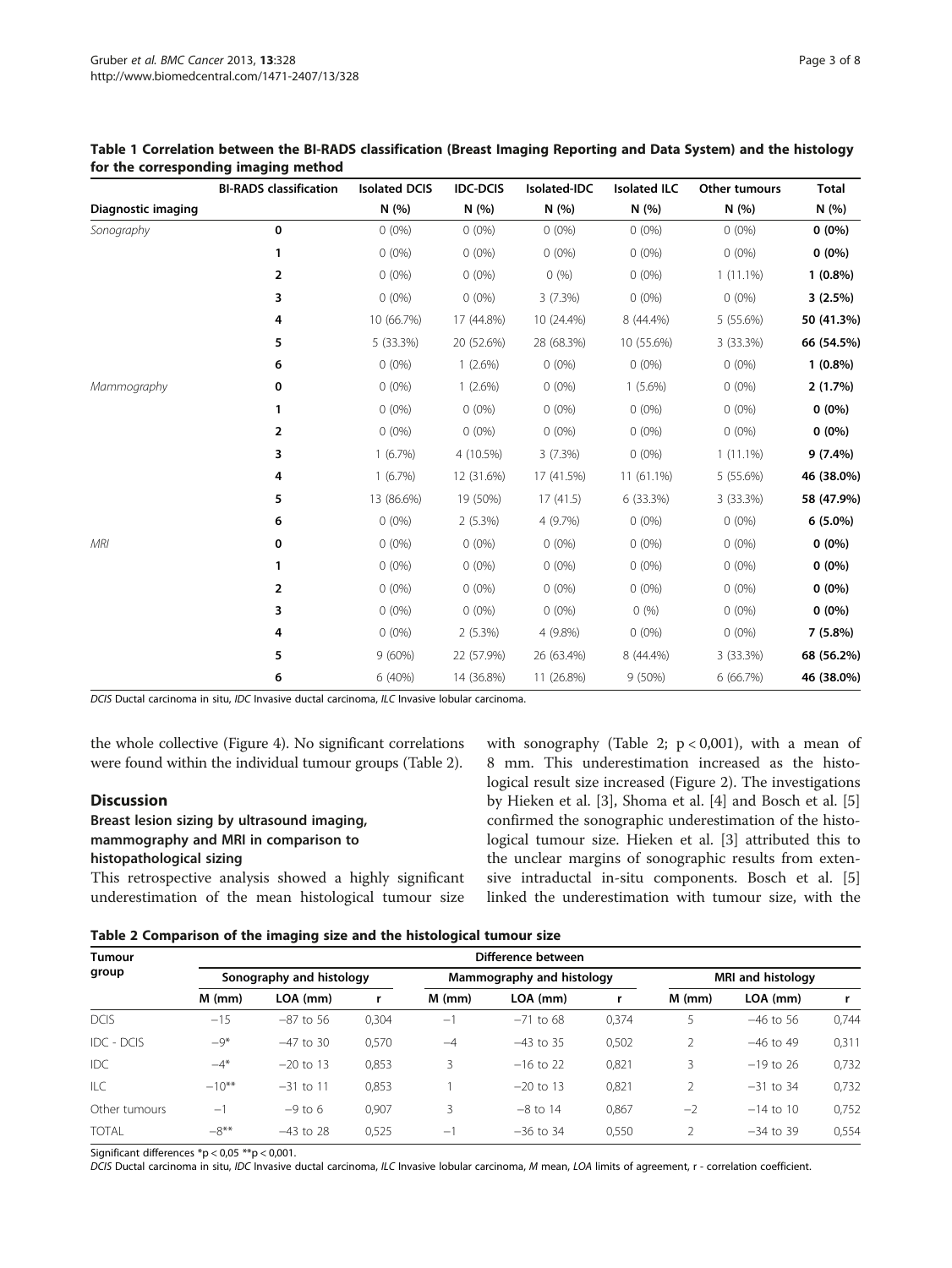|                    | <b>BI-RADS</b> classification | <b>Isolated DCIS</b> | <b>IDC-DCIS</b> | Isolated-IDC | <b>Isolated ILC</b> | Other tumours | <b>Total</b> |  |
|--------------------|-------------------------------|----------------------|-----------------|--------------|---------------------|---------------|--------------|--|
| Diagnostic imaging |                               | N(%)                 | N(%)            | N(%)         | N(%)                | N(%)          | N (%)        |  |
| Sonography         | 0                             | $0(0\%)$             | $0(0\%)$        | $0(0\%)$     | $0(0\%)$            | $0(0\%)$      | $0(0\%)$     |  |
|                    | 1                             | $0(0\%)$             | $0(0\%)$        | $0(0\%)$     | $0(0\%)$            | $0(0\%)$      | $0(0\%)$     |  |
|                    | 2                             | $0(0\%)$             | $0(0\%)$        | 0(%)         | $0(0\%)$            | $1(11.1\%)$   | $1(0.8\%)$   |  |
|                    | 3                             | $0(0\%)$             | $0(0\%)$        | 3(7.3%)      | $0(0\%)$            | $0(0\%)$      | 3(2.5%)      |  |
|                    | 4                             | 10 (66.7%)           | 17 (44.8%)      | 10 (24.4%)   | 8 (44.4%)           | 5 (55.6%)     | 50 (41.3%)   |  |
|                    | 5                             | 5 (33.3%)            | 20 (52.6%)      | 28 (68.3%)   | 10 (55.6%)          | 3 (33.3%)     | 66 (54.5%)   |  |
|                    | 6                             | $0(0\%)$             | $1(2.6\%)$      | $0(0\%)$     | $0(0\%)$            | $0(0\%)$      | $1(0.8\%)$   |  |
| Mammography        | 0                             | $0(0\%)$             | 1(2.6%)         | $0(0\%)$     | $1(5.6\%)$          | $0(0\%)$      | 2(1.7%)      |  |
|                    | 1                             | $0(0\%)$             | $0(0\%)$        | $0(0\%)$     | $0(0\%)$            | $0(0\%)$      | $0(0\%)$     |  |
|                    | 2                             | $0(0\%)$             | $0(0\%)$        | $0(0\%)$     | $0(0\%)$            | $0(0\%)$      | $0(0\%)$     |  |
|                    | 3                             | 1(6.7%)              | 4 (10.5%)       | 3(7.3%)      | $0(0\%)$            | $1(11.1\%)$   | 9(7.4%)      |  |
|                    | 4                             | 1(6.7%)              | 12 (31.6%)      | 17 (41.5%)   | 11 (61.1%)          | 5 (55.6%)     | 46 (38.0%)   |  |
|                    | 5                             | 13 (86.6%)           | 19 (50%)        | 17(41.5)     | 6 (33.3%)           | 3 (33.3%)     | 58 (47.9%)   |  |
|                    | 6                             | $0(0\%)$             | 2(5.3%)         | 4 (9.7%)     | $0(0\%)$            | $0(0\%)$      | $6(5.0\%)$   |  |
| <b>MRI</b>         | 0                             | $0(0\%)$             | $0(0\%)$        | $0(0\%)$     | $0(0\%)$            | $0(0\%)$      | $0(0\%)$     |  |
|                    | 1                             | $0(0\%)$             | $0(0\%)$        | $0(0\%)$     | $0(0\%)$            | $0(0\%)$      | $0(0\%)$     |  |
|                    | 2                             | $0(0\%)$             | $0(0\%)$        | $0(0\%)$     | $0(0\%)$            | $0(0\%)$      | $0(0\%)$     |  |
|                    | 3                             | $0(0\%)$             | $0(0\%)$        | $0(0\%)$     | 0(%)                | $0(0\%)$      | $0(0\%)$     |  |
|                    | 4                             | $0(0\%)$             | 2(5.3%)         | 4 (9.8%)     | $0(0\%)$            | $0(0\%)$      | $7(5.8\%)$   |  |
|                    | 5                             | 9(60%)               | 22 (57.9%)      | 26 (63.4%)   | 8 (44.4%)           | 3 (33.3%)     | 68 (56.2%)   |  |
|                    | 6                             | 6 (40%)              | 14 (36.8%)      | 11 (26.8%)   | 9 (50%)             | 6(66.7%)      | 46 (38.0%)   |  |

#### <span id="page-2-0"></span>Table 1 Correlation between the BI-RADS classification (Breast Imaging Reporting and Data System) and the histology for the corresponding imaging method

DCIS Ductal carcinoma in situ, IDC Invasive ductal carcinoma, ILC Invasive lobular carcinoma.

the whole collective (Figure [4\)](#page-4-0). No significant correlations were found within the individual tumour groups (Table 2).

## Discussion

## Breast lesion sizing by ultrasound imaging, mammography and MRI in comparison to histopathological sizing

This retrospective analysis showed a highly significant underestimation of the mean histological tumour size with sonography (Table 2;  $p < 0.001$ ), with a mean of 8 mm. This underestimation increased as the histological result size increased (Figure [2\)](#page-3-0). The investigations by Hieken et al. [\[3](#page-6-0)], Shoma et al. [\[4\]](#page-6-0) and Bosch et al. [\[5](#page-6-0)] confirmed the sonographic underestimation of the histological tumour size. Hieken et al. [\[3](#page-6-0)] attributed this to the unclear margins of sonographic results from extensive intraductal in-situ components. Bosch et al. [\[5](#page-6-0)] linked the underestimation with tumour size, with the

|  |  |  |  |  | Table 2 Comparison of the imaging size and the histological tumour size |  |
|--|--|--|--|--|-------------------------------------------------------------------------|--|
|  |  |  |  |  |                                                                         |  |

| Tumour<br>group | Difference between |                          |       |                   |                           |                          |          |             |       |  |  |  |
|-----------------|--------------------|--------------------------|-------|-------------------|---------------------------|--------------------------|----------|-------------|-------|--|--|--|
|                 |                    | Sonography and histology |       |                   | Mammography and histology | <b>MRI</b> and histology |          |             |       |  |  |  |
|                 | $M$ (mm)           | LOA (mm)                 |       | $M$ (mm)          | LOA (mm)                  |                          | $M$ (mm) | LOA (mm)    |       |  |  |  |
| <b>DCIS</b>     | $-15$              | $-87$ to 56              | 0.304 | $\qquad \qquad -$ | $-71$ to 68               | 0,374                    |          | $-46$ to 56 | 0,744 |  |  |  |
| IDC - DCIS      | $-9*$              | $-47$ to 30              | 0,570 | $-4$              | $-43$ to 35               | 0,502                    | 2        | $-46$ to 49 | 0,311 |  |  |  |
| IDC             | $-4*$              | $-20$ to 13              | 0,853 |                   | $-16$ to 22               | 0,821                    | 3        | $-19$ to 26 | 0,732 |  |  |  |
| ILC             | $-10***$           | $-31$ to 11              | 0,853 |                   | $-20$ to 13               | 0,821                    | 2        | $-31$ to 34 | 0,732 |  |  |  |
| Other tumours   | $-$                | $-9$ to 6                | 0.907 |                   | $-8$ to 14                | 0,867                    | $-2$     | $-14$ to 10 | 0,752 |  |  |  |
| <b>TOTAL</b>    | $-8**$             | $-43$ to 28              | 0,525 | $\qquad \qquad -$ | $-36$ to 34               | 0,550                    | 2        | $-34$ to 39 | 0,554 |  |  |  |

Significant differences \*p < 0,05 \*\*p < 0,001.

DCIS Ductal carcinoma in situ, IDC Invasive ductal carcinoma, ILC Invasive lobular carcinoma, M mean, LOA limits of agreement, r - correlation coefficient.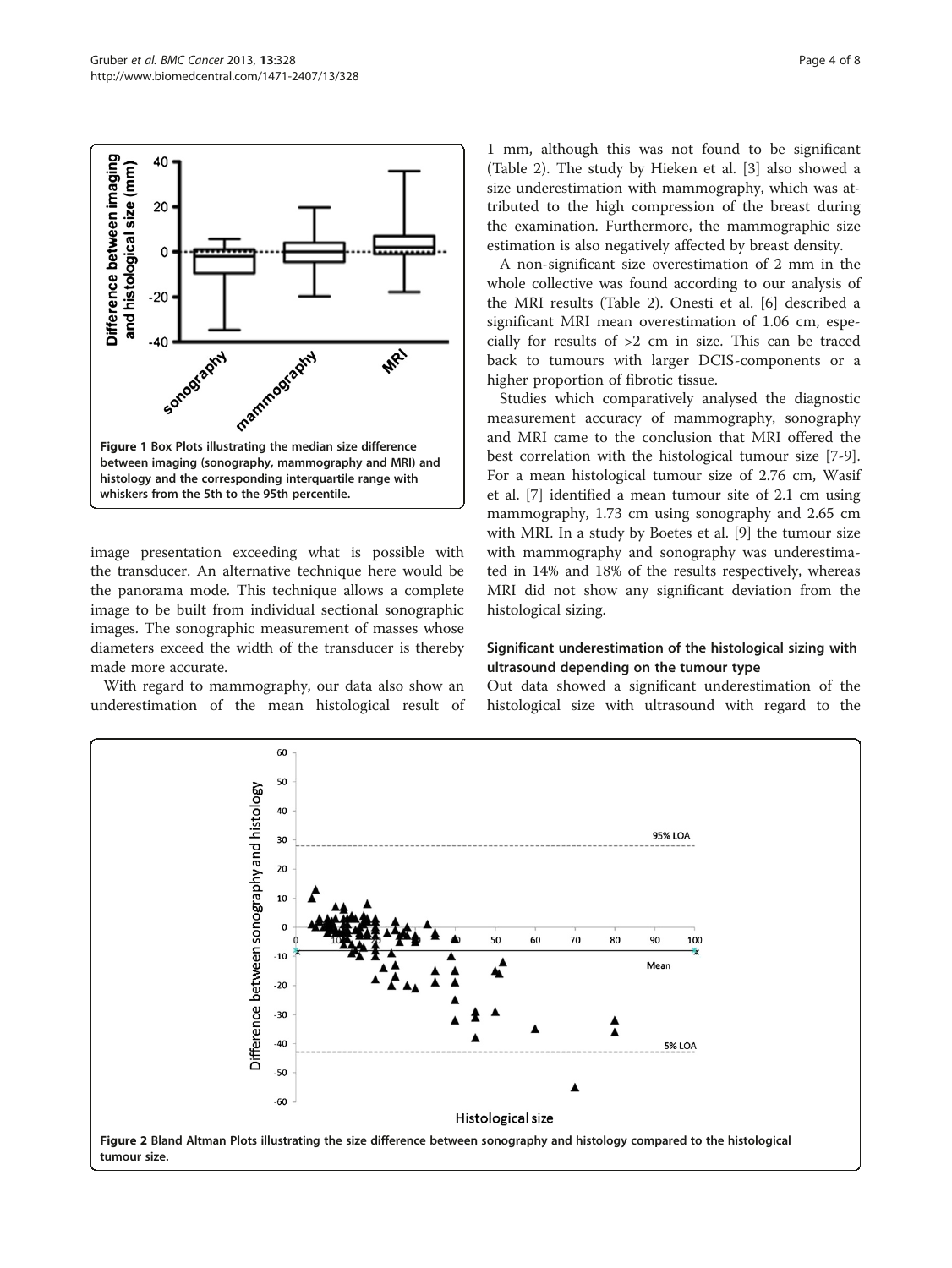<span id="page-3-0"></span>

image presentation exceeding what is possible with the transducer. An alternative technique here would be the panorama mode. This technique allows a complete image to be built from individual sectional sonographic images. The sonographic measurement of masses whose diameters exceed the width of the transducer is thereby made more accurate.

With regard to mammography, our data also show an underestimation of the mean histological result of

1 mm, although this was not found to be significant (Table [2\)](#page-2-0). The study by Hieken et al. [[3\]](#page-6-0) also showed a size underestimation with mammography, which was attributed to the high compression of the breast during the examination. Furthermore, the mammographic size estimation is also negatively affected by breast density.

A non-significant size overestimation of 2 mm in the whole collective was found according to our analysis of the MRI results (Table [2\)](#page-2-0). Onesti et al. [[6\]](#page-6-0) described a significant MRI mean overestimation of 1.06 cm, especially for results of >2 cm in size. This can be traced back to tumours with larger DCIS-components or a higher proportion of fibrotic tissue.

Studies which comparatively analysed the diagnostic measurement accuracy of mammography, sonography and MRI came to the conclusion that MRI offered the best correlation with the histological tumour size [[7-9](#page-6-0)]. For a mean histological tumour size of 2.76 cm, Wasif et al. [\[7](#page-6-0)] identified a mean tumour site of 2.1 cm using mammography, 1.73 cm using sonography and 2.65 cm with MRI. In a study by Boetes et al. [\[9](#page-6-0)] the tumour size with mammography and sonography was underestimated in 14% and 18% of the results respectively, whereas MRI did not show any significant deviation from the histological sizing.

#### Significant underestimation of the histological sizing with ultrasound depending on the tumour type

Out data showed a significant underestimation of the histological size with ultrasound with regard to the

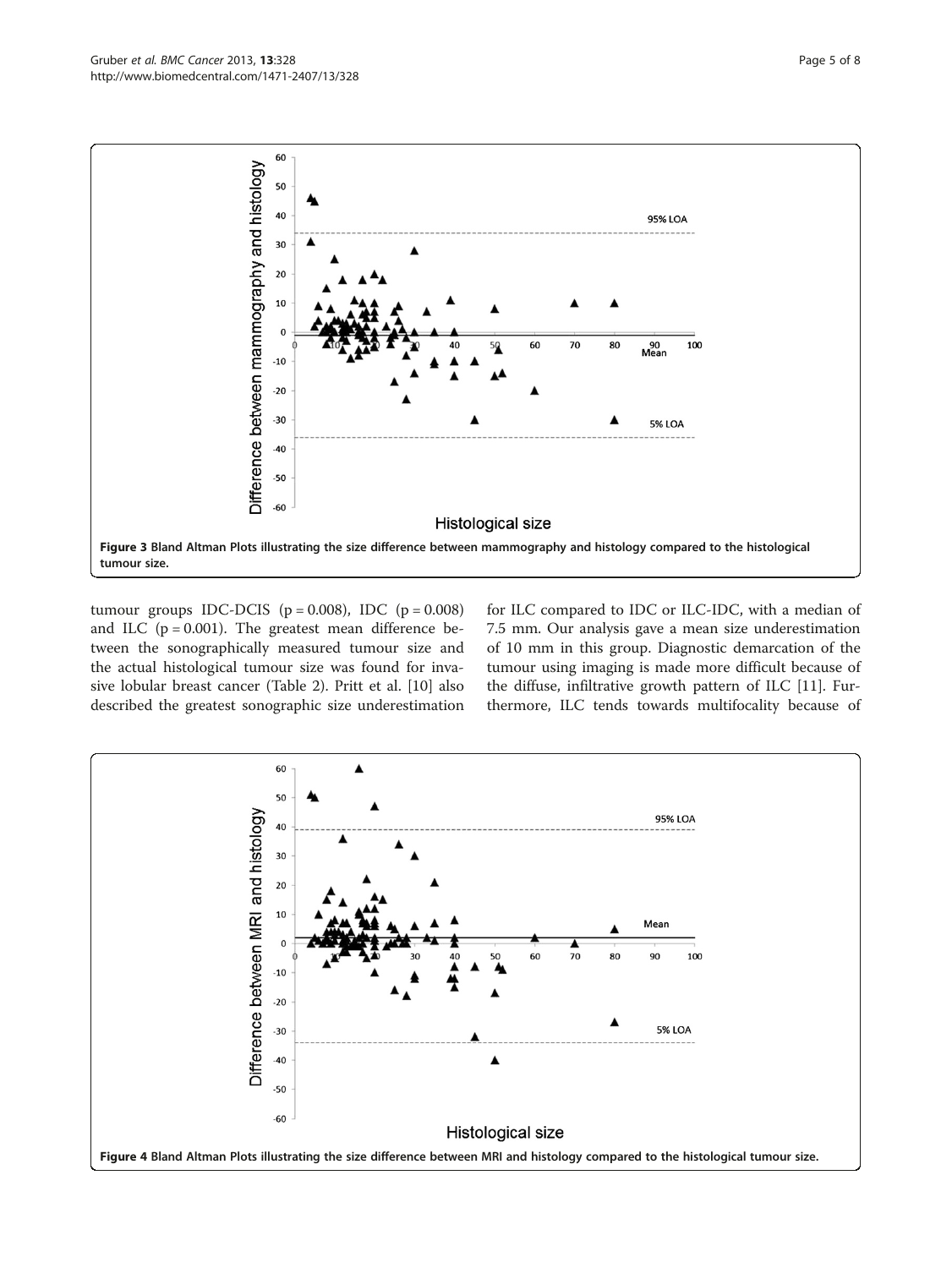<span id="page-4-0"></span>

tumour groups IDC-DCIS ( $p = 0.008$ ), IDC ( $p = 0.008$ ) and ILC  $(p = 0.001)$ . The greatest mean difference between the sonographically measured tumour size and the actual histological tumour size was found for invasive lobular breast cancer (Table [2](#page-2-0)). Pritt et al. [\[10\]](#page-6-0) also described the greatest sonographic size underestimation for ILC compared to IDC or ILC-IDC, with a median of 7.5 mm. Our analysis gave a mean size underestimation of 10 mm in this group. Diagnostic demarcation of the tumour using imaging is made more difficult because of the diffuse, infiltrative growth pattern of ILC [[11\]](#page-6-0). Furthermore, ILC tends towards multifocality because of

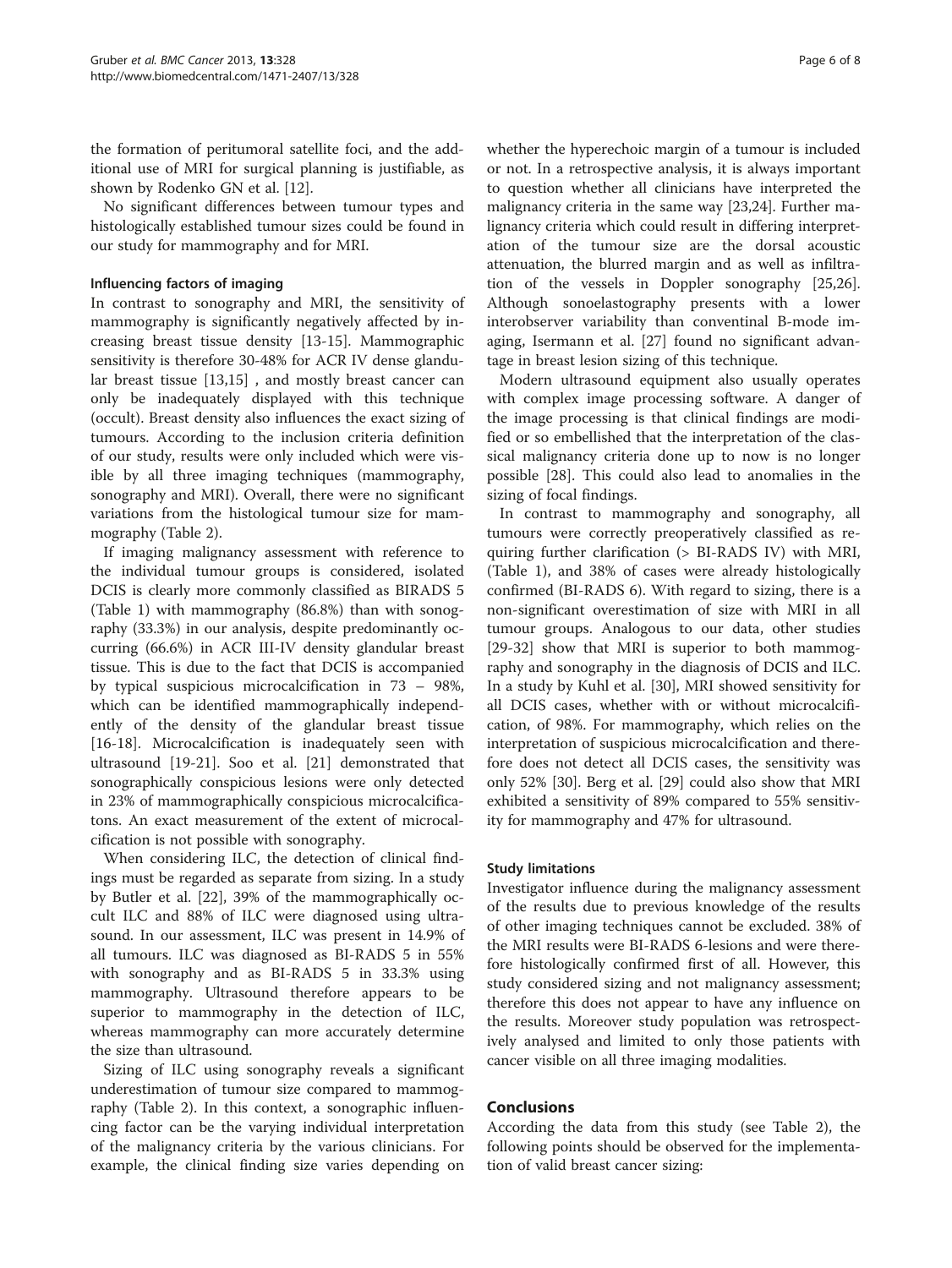the formation of peritumoral satellite foci, and the additional use of MRI for surgical planning is justifiable, as shown by Rodenko GN et al. [\[12\]](#page-6-0).

No significant differences between tumour types and histologically established tumour sizes could be found in our study for mammography and for MRI.

#### Influencing factors of imaging

In contrast to sonography and MRI, the sensitivity of mammography is significantly negatively affected by increasing breast tissue density [\[13](#page-6-0)-[15\]](#page-6-0). Mammographic sensitivity is therefore 30-48% for ACR IV dense glandular breast tissue [[13](#page-6-0),[15](#page-6-0)] , and mostly breast cancer can only be inadequately displayed with this technique (occult). Breast density also influences the exact sizing of tumours. According to the inclusion criteria definition of our study, results were only included which were visible by all three imaging techniques (mammography, sonography and MRI). Overall, there were no significant variations from the histological tumour size for mammography (Table [2\)](#page-2-0).

If imaging malignancy assessment with reference to the individual tumour groups is considered, isolated DCIS is clearly more commonly classified as BIRADS 5 (Table [1\)](#page-2-0) with mammography (86.8%) than with sonography (33.3%) in our analysis, despite predominantly occurring (66.6%) in ACR III-IV density glandular breast tissue. This is due to the fact that DCIS is accompanied by typical suspicious microcalcification in 73 – 98%, which can be identified mammographically independently of the density of the glandular breast tissue [[16-18](#page-6-0)]. Microcalcification is inadequately seen with ultrasound [\[19](#page-6-0)-[21\]](#page-6-0). Soo et al. [[21](#page-6-0)] demonstrated that sonographically conspicious lesions were only detected in 23% of mammographically conspicious microcalcificatons. An exact measurement of the extent of microcalcification is not possible with sonography.

When considering ILC, the detection of clinical findings must be regarded as separate from sizing. In a study by Butler et al. [[22\]](#page-6-0), 39% of the mammographically occult ILC and 88% of ILC were diagnosed using ultrasound. In our assessment, ILC was present in 14.9% of all tumours. ILC was diagnosed as BI-RADS 5 in 55% with sonography and as BI-RADS 5 in 33.3% using mammography. Ultrasound therefore appears to be superior to mammography in the detection of ILC, whereas mammography can more accurately determine the size than ultrasound.

Sizing of ILC using sonography reveals a significant underestimation of tumour size compared to mammography (Table [2](#page-2-0)). In this context, a sonographic influencing factor can be the varying individual interpretation of the malignancy criteria by the various clinicians. For example, the clinical finding size varies depending on whether the hyperechoic margin of a tumour is included or not. In a retrospective analysis, it is always important to question whether all clinicians have interpreted the malignancy criteria in the same way [[23](#page-6-0),[24](#page-6-0)]. Further malignancy criteria which could result in differing interpretation of the tumour size are the dorsal acoustic attenuation, the blurred margin and as well as infiltration of the vessels in Doppler sonography [\[25,26](#page-6-0)]. Although sonoelastography presents with a lower interobserver variability than conventinal B-mode imaging, Isermann et al. [[27](#page-6-0)] found no significant advantage in breast lesion sizing of this technique.

Modern ultrasound equipment also usually operates with complex image processing software. A danger of the image processing is that clinical findings are modified or so embellished that the interpretation of the classical malignancy criteria done up to now is no longer possible [[28\]](#page-7-0). This could also lead to anomalies in the sizing of focal findings.

In contrast to mammography and sonography, all tumours were correctly preoperatively classified as requiring further clarification (> BI-RADS IV) with MRI, (Table [1\)](#page-2-0), and 38% of cases were already histologically confirmed (BI-RADS 6). With regard to sizing, there is a non-significant overestimation of size with MRI in all tumour groups. Analogous to our data, other studies [[29-32](#page-7-0)] show that MRI is superior to both mammography and sonography in the diagnosis of DCIS and ILC. In a study by Kuhl et al. [\[30](#page-7-0)], MRI showed sensitivity for all DCIS cases, whether with or without microcalcification, of 98%. For mammography, which relies on the interpretation of suspicious microcalcification and therefore does not detect all DCIS cases, the sensitivity was only 52% [[30](#page-7-0)]. Berg et al. [\[29](#page-7-0)] could also show that MRI exhibited a sensitivity of 89% compared to 55% sensitivity for mammography and 47% for ultrasound.

#### Study limitations

Investigator influence during the malignancy assessment of the results due to previous knowledge of the results of other imaging techniques cannot be excluded. 38% of the MRI results were BI-RADS 6-lesions and were therefore histologically confirmed first of all. However, this study considered sizing and not malignancy assessment; therefore this does not appear to have any influence on the results. Moreover study population was retrospectively analysed and limited to only those patients with cancer visible on all three imaging modalities.

#### Conclusions

According the data from this study (see Table [2](#page-2-0)), the following points should be observed for the implementation of valid breast cancer sizing: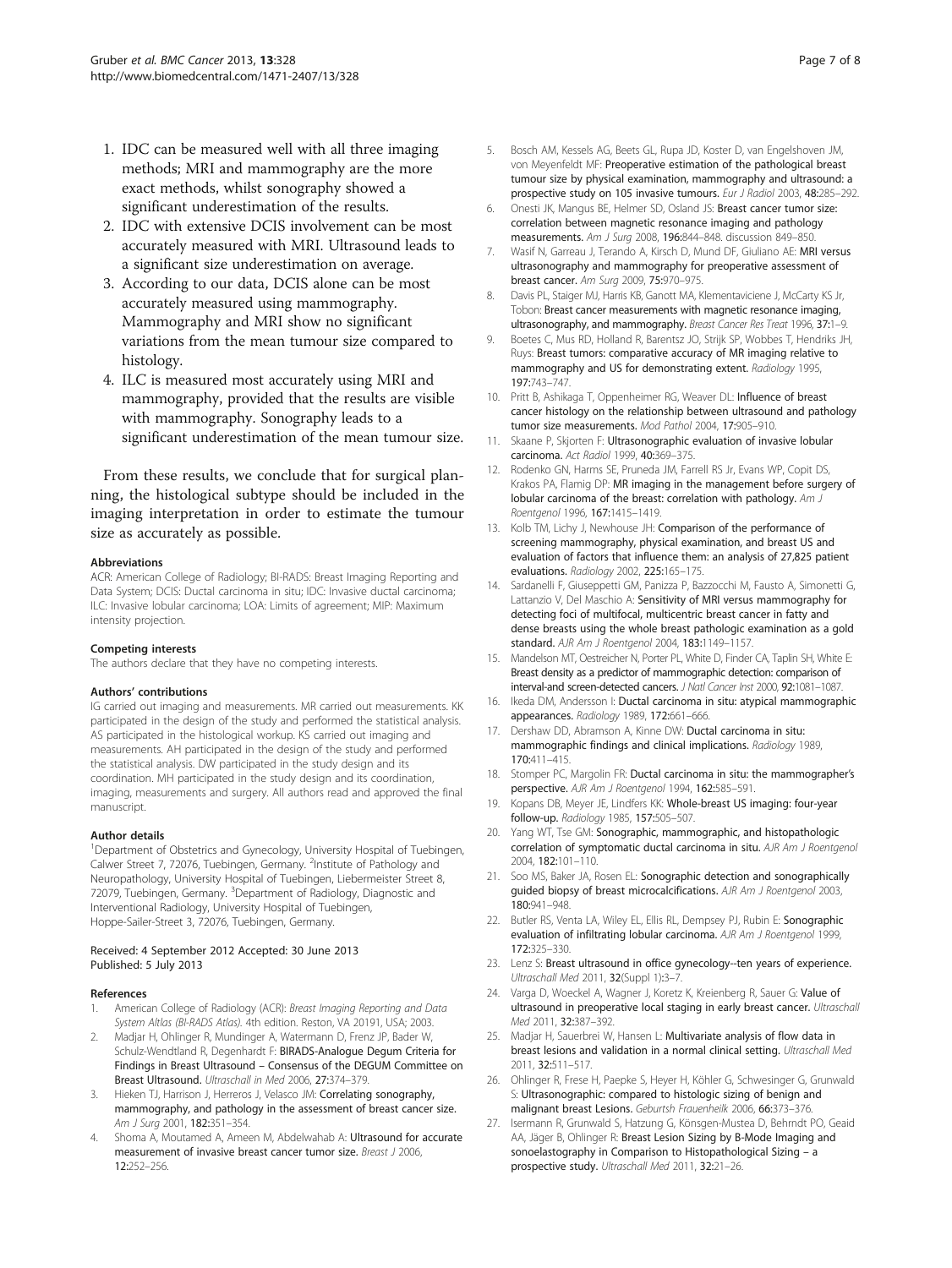- <span id="page-6-0"></span>1. IDC can be measured well with all three imaging methods; MRI and mammography are the more exact methods, whilst sonography showed a significant underestimation of the results.
- 2. IDC with extensive DCIS involvement can be most accurately measured with MRI. Ultrasound leads to a significant size underestimation on average.
- 3. According to our data, DCIS alone can be most accurately measured using mammography. Mammography and MRI show no significant variations from the mean tumour size compared to histology.
- 4. ILC is measured most accurately using MRI and mammography, provided that the results are visible with mammography. Sonography leads to a significant underestimation of the mean tumour size.

From these results, we conclude that for surgical planning, the histological subtype should be included in the imaging interpretation in order to estimate the tumour size as accurately as possible.

#### Abbreviations

ACR: American College of Radiology; BI-RADS: Breast Imaging Reporting and Data System; DCIS: Ductal carcinoma in situ; IDC: Invasive ductal carcinoma; ILC: Invasive lobular carcinoma; LOA: Limits of agreement; MIP: Maximum intensity projection.

#### Competing interests

The authors declare that they have no competing interests.

#### Authors' contributions

IG carried out imaging and measurements. MR carried out measurements. KK participated in the design of the study and performed the statistical analysis. AS participated in the histological workup. KS carried out imaging and measurements. AH participated in the design of the study and performed the statistical analysis. DW participated in the study design and its coordination. MH participated in the study design and its coordination, imaging, measurements and surgery. All authors read and approved the final manuscript.

#### Author details

<sup>1</sup>Department of Obstetrics and Gynecology, University Hospital of Tuebingen, Calwer Street 7, 72076, Tuebingen, Germany. <sup>2</sup>Institute of Pathology and Neuropathology, University Hospital of Tuebingen, Liebermeister Street 8, 72079, Tuebingen, Germany. <sup>3</sup>Department of Radiology, Diagnostic and Interventional Radiology, University Hospital of Tuebingen, Hoppe-Sailer-Street 3, 72076, Tuebingen, Germany.

#### Received: 4 September 2012 Accepted: 30 June 2013 Published: 5 July 2013

#### References

- American College of Radiology (ACR): Breast Imaging Reporting and Data System Altlas (BI-RADS Atlas). 4th edition. Reston, VA 20191, USA; 2003.
- 2. Madjar H, Ohlinger R, Mundinger A, Watermann D, Frenz JP, Bader W, Schulz-Wendtland R, Degenhardt F: BIRADS-Analogue Degum Criteria for Findings in Breast Ultrasound – Consensus of the DEGUM Committee on Breast Ultrasound. Ultraschall in Med 2006, 27:374–379.
- Hieken TJ, Harrison J, Herreros J, Velasco JM: Correlating sonography, mammography, and pathology in the assessment of breast cancer size. Am J Surg 2001, 182:351–354.
- 4. Shoma A, Moutamed A, Ameen M, Abdelwahab A: Ultrasound for accurate measurement of invasive breast cancer tumor size. Breast J 2006, 12:252–256.
- 5. Bosch AM, Kessels AG, Beets GL, Rupa JD, Koster D, van Engelshoven JM, von Meyenfeldt MF: Preoperative estimation of the pathological breast tumour size by physical examination, mammography and ultrasound: a prospective study on 105 invasive tumours. Eur J Radiol 2003, 48:285–292.
- 6. Onesti JK, Mangus BE, Helmer SD, Osland JS: Breast cancer tumor size: correlation between magnetic resonance imaging and pathology measurements. Am J Surg 2008, 196:844–848. discussion 849–850.
- 7. Wasif N, Garreau J, Terando A, Kirsch D, Mund DF, Giuliano AE: MRI versus ultrasonography and mammography for preoperative assessment of breast cancer. Am Surg 2009, 75:970–975.
- 8. Davis PL, Staiger MJ, Harris KB, Ganott MA, Klementaviciene J, McCarty KS Jr, Tobon: Breast cancer measurements with magnetic resonance imaging, ultrasonography, and mammography. Breast Cancer Res Treat 1996, 37:1-9.
- 9. Boetes C, Mus RD, Holland R, Barentsz JO, Strijk SP, Wobbes T, Hendriks JH, Ruys: Breast tumors: comparative accuracy of MR imaging relative to mammography and US for demonstrating extent. Radiology 1995, 197:743–747.
- 10. Pritt B, Ashikaga T, Oppenheimer RG, Weaver DL: Influence of breast cancer histology on the relationship between ultrasound and pathology tumor size measurements. Mod Pathol 2004, 17:905–910.
- 11. Skaane P, Skjorten F: Ultrasonographic evaluation of invasive lobular carcinoma. Act Radiol 1999, 40:369–375.
- 12. Rodenko GN, Harms SE, Pruneda JM, Farrell RS Jr, Evans WP, Copit DS, Krakos PA, Flamig DP: MR imaging in the management before surgery of lobular carcinoma of the breast: correlation with pathology. Am J Roentgenol 1996, 167:1415–1419.
- 13. Kolb TM, Lichy J, Newhouse JH: Comparison of the performance of screening mammography, physical examination, and breast US and evaluation of factors that influence them: an analysis of 27,825 patient evaluations. Radiology 2002, 225:165–175.
- 14. Sardanelli F, Giuseppetti GM, Panizza P, Bazzocchi M, Fausto A, Simonetti G, Lattanzio V, Del Maschio A: Sensitivity of MRI versus mammography for detecting foci of multifocal, multicentric breast cancer in fatty and dense breasts using the whole breast pathologic examination as a gold standard. AJR Am J Roentgenol 2004, 183:1149-1157.
- 15. Mandelson MT, Oestreicher N, Porter PL, White D, Finder CA, Taplin SH, White E: Breast density as a predictor of mammographic detection: comparison of interval-and screen-detected cancers. J Natl Cancer Inst 2000, 92:1081–1087.
- 16. Ikeda DM, Andersson I: Ductal carcinoma in situ: atypical mammographic appearances. Radiology 1989, 172:661–666.
- 17. Dershaw DD, Abramson A, Kinne DW: Ductal carcinoma in situ: mammographic findings and clinical implications. Radiology 1989, 170:411–415.
- 18. Stomper PC, Margolin FR: Ductal carcinoma in situ: the mammographer's perspective. AJR Am J Roentgenol 1994, 162:585–591.
- 19. Kopans DB, Meyer JE, Lindfers KK: Whole-breast US imaging: four-year follow-up. Radiology 1985, 157:505–507.
- 20. Yang WT, Tse GM: Sonographic, mammographic, and histopathologic correlation of symptomatic ductal carcinoma in situ. AJR Am J Roentgenol 2004, 182:101–110.
- 21. Soo MS, Baker JA, Rosen EL: Sonographic detection and sonographically guided biopsy of breast microcalcifications. AJR Am J Roentgenol 2003, 180:941–948.
- 22. Butler RS, Venta LA, Wiley EL, Ellis RL, Dempsey PJ, Rubin E: Sonographic evaluation of infiltrating lobular carcinoma. AJR Am J Roentgenol 1999, 172:325–330.
- 23. Lenz S: Breast ultrasound in office gynecology--ten years of experience. Ultraschall Med 2011, 32(Suppl 1):3–7.
- 24. Varga D, Woeckel A, Wagner J, Koretz K, Kreienberg R, Sauer G: Value of ultrasound in preoperative local staging in early breast cancer. Ultraschall Med 2011, 32:387–392.
- 25. Madjar H, Sauerbrei W, Hansen L: Multivariate analysis of flow data in breast lesions and validation in a normal clinical setting. Ultraschall Med 2011, 32:511–517.
- 26. Ohlinger R, Frese H, Paepke S, Heyer H, Köhler G, Schwesinger G, Grunwald S: Ultrasonographic: compared to histologic sizing of benign and malignant breast Lesions. Geburtsh Frauenheilk 2006, 66:373–376.
- 27. Isermann R, Grunwald S, Hatzung G, Könsgen-Mustea D, Behrndt PO, Geaid AA, Jäger B, Ohlinger R: Breast Lesion Sizing by B-Mode Imaging and sonoelastography in Comparison to Histopathological Sizing – a prospective study. Ultraschall Med 2011, 32:21–26.